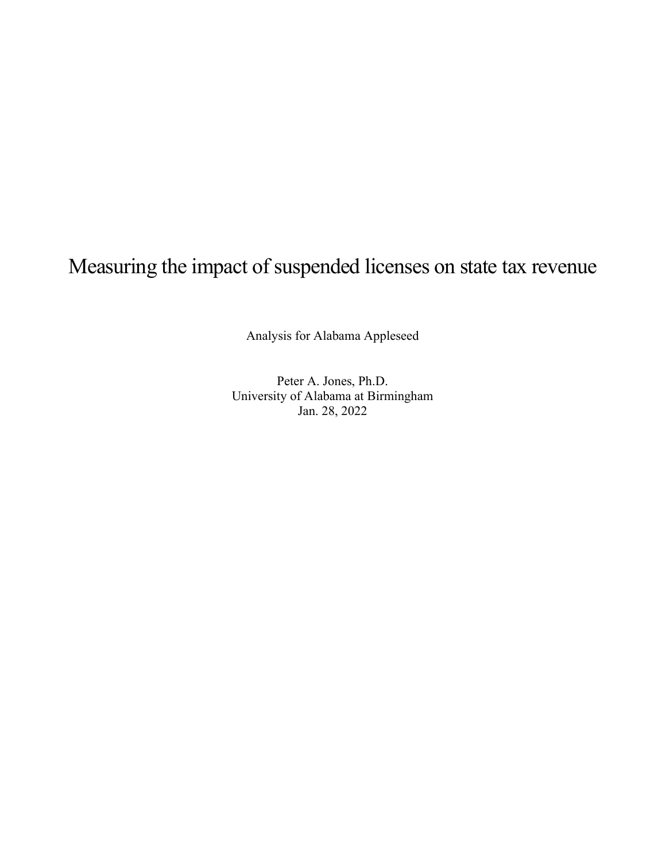# Measuring the impact of suspended licenses on state tax revenue

Analysis for Alabama Appleseed

Peter A. Jones, Ph.D. University of Alabama at Birmingham Jan. 28, 2022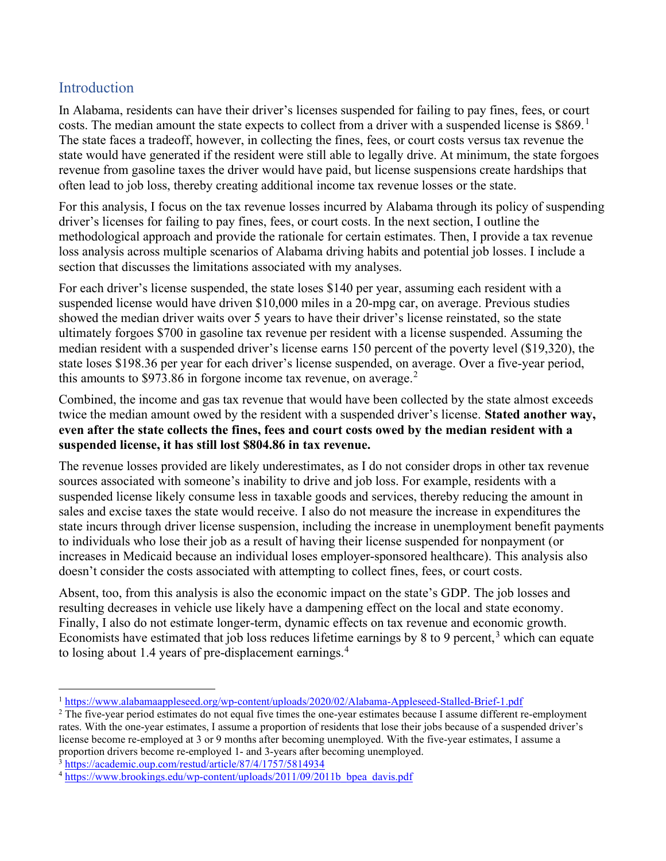## Introduction

In Alabama, residents can have their driver's licenses suspended for failing to pay fines, fees, or court costs. The median amount the state expects to collect from a driver with a suspended license is \$869.<sup>1</sup> The state faces a tradeoff, however, in collecting the fines, fees, or court costs versus tax revenue the state would have generated if the resident were still able to legally drive. At minimum, the state forgoes revenue from gasoline taxes the driver would have paid, but license suspensions create hardships that often lead to job loss, thereby creating additional income tax revenue losses or the state.

For this analysis, I focus on the tax revenue losses incurred by Alabama through its policy of suspending driver's licenses for failing to pay fines, fees, or court costs. In the next section, I outline the methodological approach and provide the rationale for certain estimates. Then, I provide a tax revenue loss analysis across multiple scenarios of Alabama driving habits and potential job losses. I include a section that discusses the limitations associated with my analyses.

For each driver's license suspended, the state loses \$140 per year, assuming each resident with a suspended license would have driven \$10,000 miles in a 20-mpg car, on average. Previous studies showed the median driver waits over 5 years to have their driver's license reinstated, so the state ultimately forgoes \$700 in gasoline tax revenue per resident with a license suspended. Assuming the median resident with a suspended driver's license earns 150 percent of the poverty level (\$19,320), the state loses \$198.36 per year for each driver's license suspended, on average. Over a five-year period, this amounts to \$973.86 in forgone income tax revenue, on average. $2$ 

Combined, the income and gas tax revenue that would have been collected by the state almost exceeds twice the median amount owed by the resident with a suspended driver's license. Stated another way, even after the state collects the fines, fees and court costs owed by the median resident with a suspended license, it has still lost \$804.86 in tax revenue.

The revenue losses provided are likely underestimates, as I do not consider drops in other tax revenue sources associated with someone's inability to drive and job loss. For example, residents with a suspended license likely consume less in taxable goods and services, thereby reducing the amount in sales and excise taxes the state would receive. I also do not measure the increase in expenditures the state incurs through driver license suspension, including the increase in unemployment benefit payments to individuals who lose their job as a result of having their license suspended for nonpayment (or increases in Medicaid because an individual loses employer-sponsored healthcare). This analysis also doesn't consider the costs associated with attempting to collect fines, fees, or court costs.

Absent, too, from this analysis is also the economic impact on the state's GDP. The job losses and resulting decreases in vehicle use likely have a dampening effect on the local and state economy. Finally, I also do not estimate longer-term, dynamic effects on tax revenue and economic growth. Economists have estimated that job loss reduces lifetime earnings by 8 to 9 percent,<sup>3</sup> which can equate to losing about 1.4 years of pre-displacement earnings.<sup>4</sup>

<sup>3</sup> https://academic.oup.com/restud/article/87/4/1757/5814934

<sup>&</sup>lt;sup>1</sup> https://www.alabamaappleseed.org/wp-content/uploads/2020/02/Alabama-Appleseed-Stalled-Brief-1.pdf

<sup>&</sup>lt;sup>2</sup> The five-year period estimates do not equal five times the one-year estimates because I assume different re-employment rates. With the one-year estimates, I assume a proportion of residents that lose their jobs because of a suspended driver's license become re-employed at 3 or 9 months after becoming unemployed. With the five-year estimates, I assume a proportion drivers become re-employed 1- and 3-years after becoming unemployed.

<sup>&</sup>lt;sup>4</sup> https://www.brookings.edu/wp-content/uploads/2011/09/2011b\_bpea\_davis.pdf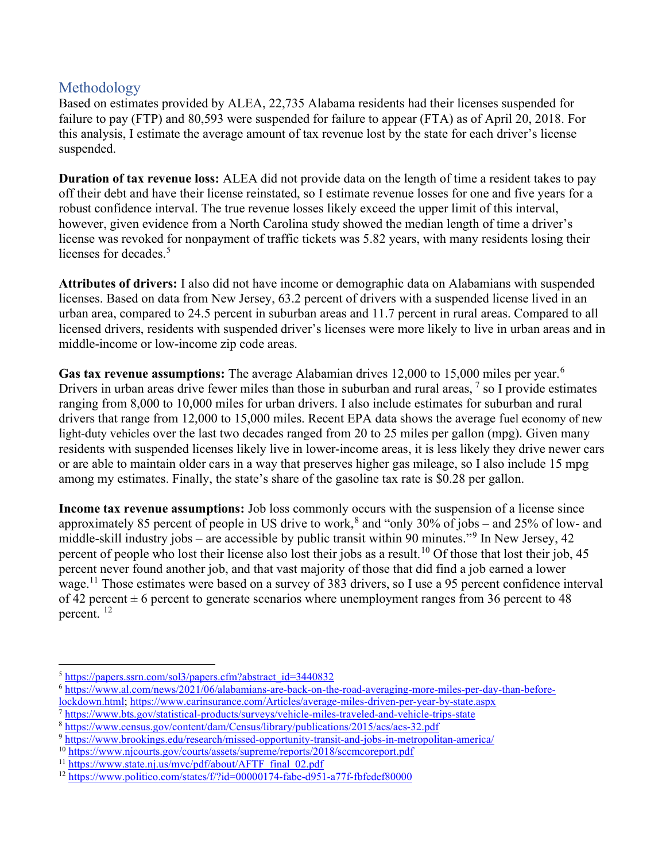## Methodology

Based on estimates provided by ALEA, 22,735 Alabama residents had their licenses suspended for failure to pay (FTP) and 80,593 were suspended for failure to appear (FTA) as of April 20, 2018. For this analysis, I estimate the average amount of tax revenue lost by the state for each driver's license suspended.

Duration of tax revenue loss: ALEA did not provide data on the length of time a resident takes to pay off their debt and have their license reinstated, so I estimate revenue losses for one and five years for a robust confidence interval. The true revenue losses likely exceed the upper limit of this interval, however, given evidence from a North Carolina study showed the median length of time a driver's license was revoked for nonpayment of traffic tickets was 5.82 years, with many residents losing their licenses for decades.<sup>5</sup>

Attributes of drivers: I also did not have income or demographic data on Alabamians with suspended licenses. Based on data from New Jersey, 63.2 percent of drivers with a suspended license lived in an urban area, compared to 24.5 percent in suburban areas and 11.7 percent in rural areas. Compared to all licensed drivers, residents with suspended driver's licenses were more likely to live in urban areas and in middle-income or low-income zip code areas.

Gas tax revenue assumptions: The average Alabamian drives 12,000 to 15,000 miles per year.<sup>6</sup> Drivers in urban areas drive fewer miles than those in suburban and rural areas,  $\frac{7}{1}$  so I provide estimates ranging from 8,000 to 10,000 miles for urban drivers. I also include estimates for suburban and rural drivers that range from 12,000 to 15,000 miles. Recent EPA data shows the average fuel economy of new light-duty vehicles over the last two decades ranged from 20 to 25 miles per gallon (mpg). Given many residents with suspended licenses likely live in lower-income areas, it is less likely they drive newer cars or are able to maintain older cars in a way that preserves higher gas mileage, so I also include 15 mpg among my estimates. Finally, the state's share of the gasoline tax rate is \$0.28 per gallon.

Income tax revenue assumptions: Job loss commonly occurs with the suspension of a license since approximately 85 percent of people in US drive to work,  $8$  and "only 30% of jobs – and 25% of low- and middle-skill industry jobs – are accessible by public transit within 90 minutes."<sup>9</sup> In New Jersey, 42 percent of people who lost their license also lost their jobs as a result.<sup>10</sup> Of those that lost their job, 45 percent never found another job, and that vast majority of those that did find a job earned a lower wage.<sup>11</sup> Those estimates were based on a survey of 383 drivers, so I use a 95 percent confidence interval of 42 percent  $\pm$  6 percent to generate scenarios where unemployment ranges from 36 percent to 48 percent.<sup>12</sup>

<sup>&</sup>lt;sup>5</sup> https://papers.ssrn.com/sol3/papers.cfm?abstract\_id=3440832

<sup>6</sup> https://www.al.com/news/2021/06/alabamians-are-back-on-the-road-averaging-more-miles-per-day-than-before-

lockdown.html; https://www.carinsurance.com/Articles/average-miles-driven-per-year-by-state.aspx <sup>7</sup> https://www.bts.gov/statistical-products/surveys/vehicle-miles-traveled-and-vehicle-trips-state

<sup>8</sup> https://www.census.gov/content/dam/Census/library/publications/2015/acs/acs-32.pdf

<sup>9</sup> https://www.brookings.edu/research/missed-opportunity-transit-and-jobs-in-metropolitan-america/

<sup>10</sup> https://www.njcourts.gov/courts/assets/supreme/reports/2018/sccmcoreport.pdf

<sup>&</sup>lt;sup>11</sup> https://www.state.nj.us/mvc/pdf/about/AFTF\_final\_02.pdf

<sup>12</sup> https://www.politico.com/states/f/?id=00000174-fabe-d951-a77f-fbfedef80000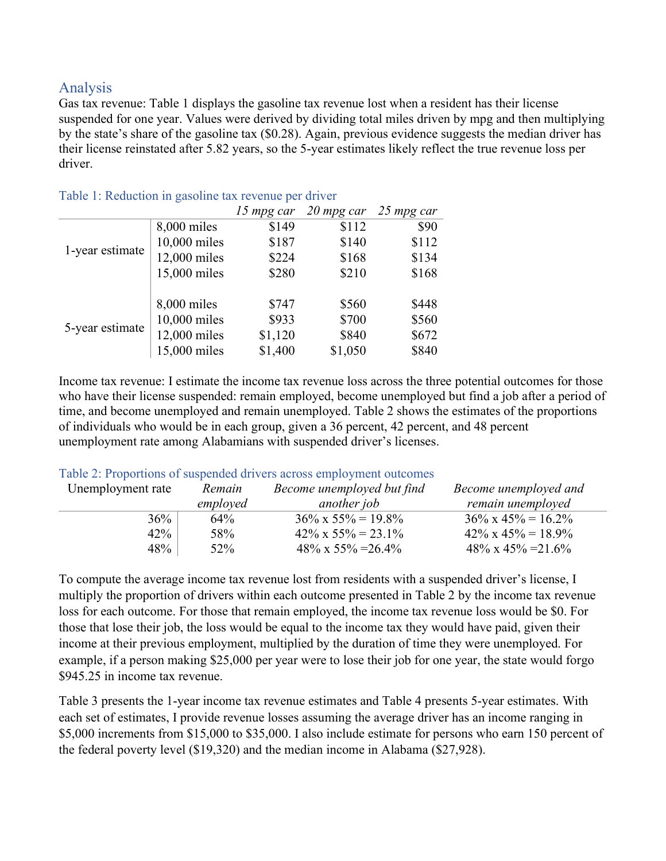## Analysis

Gas tax revenue: Table 1 displays the gasoline tax revenue lost when a resident has their license suspended for one year. Values were derived by dividing total miles driven by mpg and then multiplying by the state's share of the gasoline tax (\$0.28). Again, previous evidence suggests the median driver has their license reinstated after 5.82 years, so the 5-year estimates likely reflect the true revenue loss per driver.

|                 |              | 15 mpg car | $20$ mpg car | 25 mpg car |
|-----------------|--------------|------------|--------------|------------|
|                 | 8,000 miles  | \$149      | \$112        | \$90       |
|                 | 10,000 miles | \$187      | \$140        | \$112      |
| 1-year estimate | 12,000 miles | \$224      | \$168        | \$134      |
|                 | 15,000 miles | \$280      | \$210        | \$168      |
|                 |              |            |              |            |
|                 | 8,000 miles  | \$747      | \$560        | \$448      |
| 5-year estimate | 10,000 miles | \$933      | \$700        | \$560      |
|                 | 12,000 miles | \$1,120    | \$840        | \$672      |
|                 | 15,000 miles | \$1,400    | \$1,050      | \$840      |

#### Table 1: Reduction in gasoline tax revenue per driver

Income tax revenue: I estimate the income tax revenue loss across the three potential outcomes for those who have their license suspended: remain employed, become unemployed but find a job after a period of time, and become unemployed and remain unemployed. Table 2 shows the estimates of the proportions of individuals who would be in each group, given a 36 percent, 42 percent, and 48 percent unemployment rate among Alabamians with suspended driver's licenses.

#### Table 2: Proportions of suspended drivers across employment outcomes

| Unemployment rate | Remain   | Become unemployed but find  | Become unemployed and       |
|-------------------|----------|-----------------------------|-----------------------------|
|                   | employed | another job                 | remain unemployed           |
| 36%               | 64%      | $36\% \times 55\% = 19.8\%$ | $36\% \times 45\% = 16.2\%$ |
| 42%               | 58%      | $42\% \times 55\% = 23.1\%$ | $42\% \times 45\% = 18.9\%$ |
| 48%               | 52\%     | $48\% \times 55\% = 26.4\%$ | $48\% \times 45\% = 21.6\%$ |

To compute the average income tax revenue lost from residents with a suspended driver's license, I multiply the proportion of drivers within each outcome presented in Table 2 by the income tax revenue loss for each outcome. For those that remain employed, the income tax revenue loss would be \$0. For those that lose their job, the loss would be equal to the income tax they would have paid, given their income at their previous employment, multiplied by the duration of time they were unemployed. For example, if a person making \$25,000 per year were to lose their job for one year, the state would forgo \$945.25 in income tax revenue.

Table 3 presents the 1-year income tax revenue estimates and Table 4 presents 5-year estimates. With each set of estimates, I provide revenue losses assuming the average driver has an income ranging in \$5,000 increments from \$15,000 to \$35,000. I also include estimate for persons who earn 150 percent of the federal poverty level (\$19,320) and the median income in Alabama (\$27,928).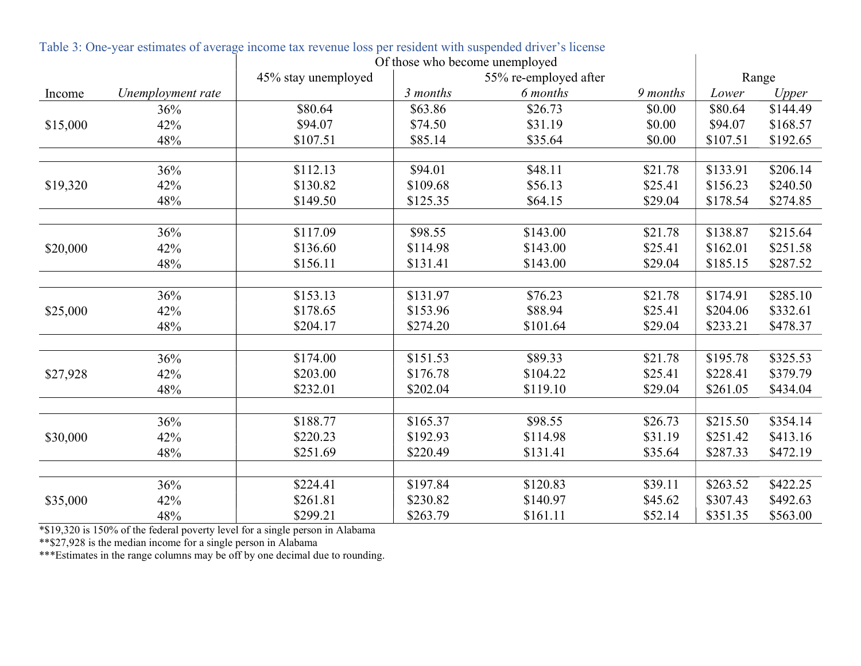|          |                   | Of those who become unemployed |                       |          |          |          |          |
|----------|-------------------|--------------------------------|-----------------------|----------|----------|----------|----------|
|          |                   | 45% stay unemployed            | 55% re-employed after | Range    |          |          |          |
| Income   | Unemployment rate |                                | 3 months              | 6 months | 9 months | Lower    | Upper    |
|          | 36%               | \$80.64                        | \$63.86               | \$26.73  | \$0.00   | \$80.64  | \$144.49 |
| \$15,000 | 42%               | \$94.07                        | \$74.50               | \$31.19  | \$0.00   | \$94.07  | \$168.57 |
|          | 48%               | \$107.51                       | \$85.14               | \$35.64  | \$0.00   | \$107.51 | \$192.65 |
|          | 36%               | \$112.13                       | \$94.01               | \$48.11  | \$21.78  | \$133.91 | \$206.14 |
| \$19,320 | 42%               | \$130.82                       | \$109.68              | \$56.13  | \$25.41  | \$156.23 | \$240.50 |
|          | 48%               | \$149.50                       | \$125.35              | \$64.15  | \$29.04  | \$178.54 | \$274.85 |
|          |                   |                                |                       |          |          |          |          |
|          | 36%               | \$117.09                       | \$98.55               | \$143.00 | \$21.78  | \$138.87 | \$215.64 |
| \$20,000 | 42%               | \$136.60                       | \$114.98              | \$143.00 | \$25.41  | \$162.01 | \$251.58 |
|          | 48%               | \$156.11                       | \$131.41              | \$143.00 | \$29.04  | \$185.15 | \$287.52 |
|          |                   |                                |                       |          |          |          |          |
|          | 36%               | \$153.13                       | \$131.97              | \$76.23  | \$21.78  | \$174.91 | \$285.10 |
| \$25,000 | 42%               | \$178.65                       | \$153.96              | \$88.94  | \$25.41  | \$204.06 | \$332.61 |
|          | 48%               | \$204.17                       | \$274.20              | \$101.64 | \$29.04  | \$233.21 | \$478.37 |
|          |                   |                                |                       |          |          |          |          |
|          | 36%               | \$174.00                       | \$151.53              | \$89.33  | \$21.78  | \$195.78 | \$325.53 |
| \$27,928 | 42%               | \$203.00                       | \$176.78              | \$104.22 | \$25.41  | \$228.41 | \$379.79 |
|          | 48%               | \$232.01                       | \$202.04              | \$119.10 | \$29.04  | \$261.05 | \$434.04 |
|          | 36%               | \$188.77                       | \$165.37              | \$98.55  | \$26.73  | \$215.50 | \$354.14 |
| \$30,000 | 42%               | \$220.23                       | \$192.93              | \$114.98 | \$31.19  | \$251.42 | \$413.16 |
|          | 48%               | \$251.69                       | \$220.49              | \$131.41 | \$35.64  | \$287.33 | \$472.19 |
|          |                   |                                |                       |          |          |          |          |
|          | 36%               | \$224.41                       | \$197.84              | \$120.83 | \$39.11  | \$263.52 | \$422.25 |
| \$35,000 | 42%               | \$261.81                       | \$230.82              | \$140.97 | \$45.62  | \$307.43 | \$492.63 |
|          | 48%               | \$299.21                       | \$263.79              | \$161.11 | \$52.14  | \$351.35 | \$563.00 |

 $\mathbf{I}$ 

Table 3: One-year estimates of average income tax revenue loss per resident with suspended driver's license

\*\$19,320 is 150% of the federal poverty level for a single person in Alabama

\*\*\$27,928 is the median income for a single person in Alabama

\*\*\*Estimates in the range columns may be off by one decimal due to rounding.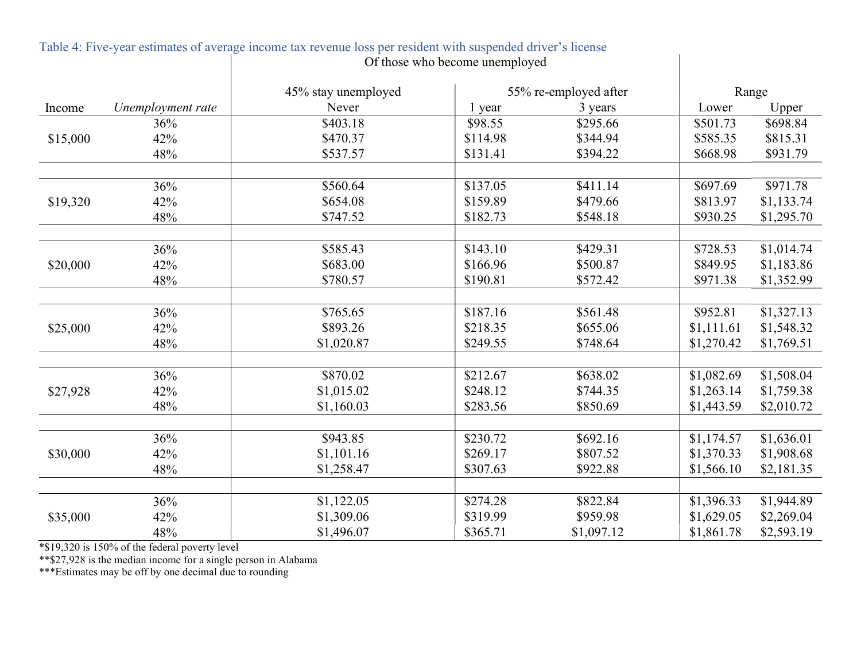|          |                   | 45% stay unemployed | 55% re-employed after |            |            | Range      |
|----------|-------------------|---------------------|-----------------------|------------|------------|------------|
| Income   | Unemployment rate | Never               | 1 year                | 3 years    | Lower      | Upper      |
|          | 36%               | \$403.18            | \$98.55               | \$295.66   | \$501.73   | \$698.84   |
| \$15,000 | 42%               | \$470.37            | \$114.98              | \$344.94   | \$585.35   | \$815.31   |
|          | 48%               | \$537.57            | \$131.41              | \$394.22   | \$668.98   | \$931.79   |
|          |                   |                     |                       |            |            |            |
|          | 36%               | \$560.64            | \$137.05              | \$411.14   | \$697.69   | \$971.78   |
| \$19,320 | 42%               | \$654.08            | \$159.89              | \$479.66   | \$813.97   | \$1,133.74 |
|          | 48%               | \$747.52            | \$182.73              | \$548.18   | \$930.25   | \$1,295.70 |
|          |                   |                     |                       |            |            |            |
|          | 36%               | \$585.43            | \$143.10              | \$429.31   | \$728.53   | \$1,014.74 |
| \$20,000 | 42%               | \$683.00            | \$166.96              | \$500.87   | \$849.95   | \$1,183.86 |
|          | 48%               | \$780.57            | \$190.81              | \$572.42   | \$971.38   | \$1,352.99 |
|          |                   |                     |                       |            |            |            |
|          | 36%               | \$765.65            | \$187.16              | \$561.48   | \$952.81   | \$1,327.13 |
| \$25,000 | 42%               | \$893.26            | \$218.35              | \$655.06   | \$1,111.61 | \$1,548.32 |
|          | 48%               | \$1,020.87          | \$249.55              | \$748.64   | \$1,270.42 | \$1,769.51 |
|          |                   |                     |                       |            |            |            |
|          | 36%               | \$870.02            | \$212.67              | \$638.02   | \$1,082.69 | \$1,508.04 |
| \$27,928 | 42%               | \$1,015.02          | \$248.12              | \$744.35   | \$1,263.14 | \$1,759.38 |
|          | 48%               | \$1,160.03          | \$283.56              | \$850.69   | \$1,443.59 | \$2,010.72 |
|          |                   |                     |                       |            |            |            |
|          | 36%               | \$943.85            | \$230.72              | \$692.16   | \$1,174.57 | \$1,636.01 |
| \$30,000 | 42%               | \$1,101.16          | \$269.17              | \$807.52   | \$1,370.33 | \$1,908.68 |
|          | 48%               | \$1,258.47          | \$307.63              | \$922.88   | \$1,566.10 | \$2,181.35 |
|          |                   |                     |                       |            |            |            |
|          | 36%               | \$1,122.05          | \$274.28              | \$822.84   | \$1,396.33 | \$1,944.89 |
| \$35,000 | 42%               | \$1,309.06          | \$319.99              | \$959.98   | \$1,629.05 | \$2,269.04 |
|          | 48%               | \$1,496.07          | \$365.71              | \$1,097.12 | \$1,861.78 | \$2,593.19 |

### Table 4: Five-year estimates of average income tax revenue loss per resident with suspended driver's license Of those who become unemployed

\*\$19,320 is 150% of the federal poverty level

\*\*\$27,928 is the median income for a single person in Alabama

\*\*\*Estimates may be off by one decimal due to rounding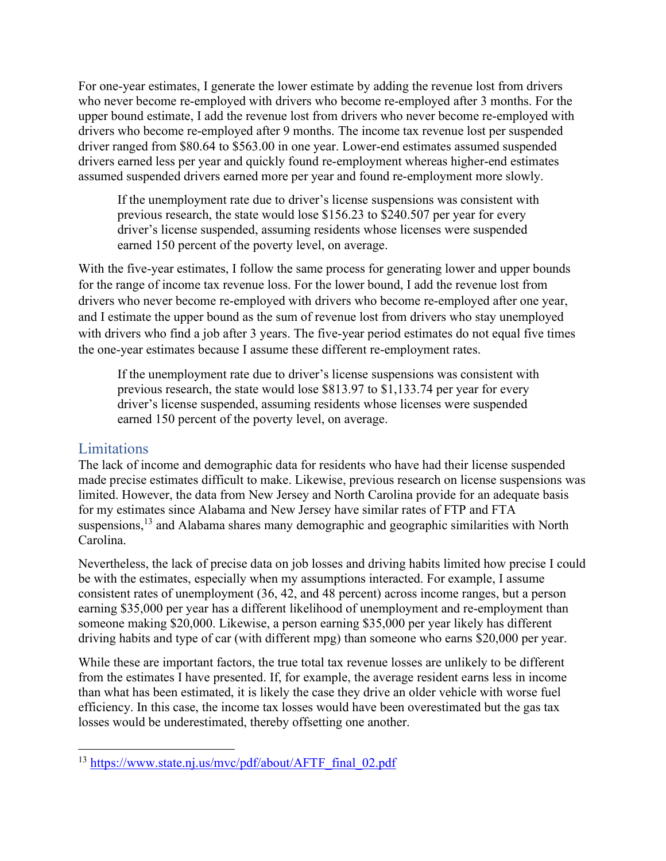For one-year estimates, I generate the lower estimate by adding the revenue lost from drivers who never become re-employed with drivers who become re-employed after 3 months. For the upper bound estimate, I add the revenue lost from drivers who never become re-employed with drivers who become re-employed after 9 months. The income tax revenue lost per suspended driver ranged from \$80.64 to \$563.00 in one year. Lower-end estimates assumed suspended drivers earned less per year and quickly found re-employment whereas higher-end estimates assumed suspended drivers earned more per year and found re-employment more slowly.

If the unemployment rate due to driver's license suspensions was consistent with previous research, the state would lose \$156.23 to \$240.507 per year for every driver's license suspended, assuming residents whose licenses were suspended earned 150 percent of the poverty level, on average.

With the five-year estimates, I follow the same process for generating lower and upper bounds for the range of income tax revenue loss. For the lower bound, I add the revenue lost from drivers who never become re-employed with drivers who become re-employed after one year, and I estimate the upper bound as the sum of revenue lost from drivers who stay unemployed with drivers who find a job after 3 years. The five-year period estimates do not equal five times the one-year estimates because I assume these different re-employment rates.

If the unemployment rate due to driver's license suspensions was consistent with previous research, the state would lose \$813.97 to \$1,133.74 per year for every driver's license suspended, assuming residents whose licenses were suspended earned 150 percent of the poverty level, on average.

## Limitations

The lack of income and demographic data for residents who have had their license suspended made precise estimates difficult to make. Likewise, previous research on license suspensions was limited. However, the data from New Jersey and North Carolina provide for an adequate basis for my estimates since Alabama and New Jersey have similar rates of FTP and FTA suspensions, $^{13}$  and Alabama shares many demographic and geographic similarities with North Carolina.

Nevertheless, the lack of precise data on job losses and driving habits limited how precise I could be with the estimates, especially when my assumptions interacted. For example, I assume consistent rates of unemployment (36, 42, and 48 percent) across income ranges, but a person earning \$35,000 per year has a different likelihood of unemployment and re-employment than someone making \$20,000. Likewise, a person earning \$35,000 per year likely has different driving habits and type of car (with different mpg) than someone who earns \$20,000 per year.

While these are important factors, the true total tax revenue losses are unlikely to be different from the estimates I have presented. If, for example, the average resident earns less in income than what has been estimated, it is likely the case they drive an older vehicle with worse fuel efficiency. In this case, the income tax losses would have been overestimated but the gas tax losses would be underestimated, thereby offsetting one another.

<sup>&</sup>lt;sup>13</sup> https://www.state.nj.us/myc/pdf/about/AFTF\_final\_02.pdf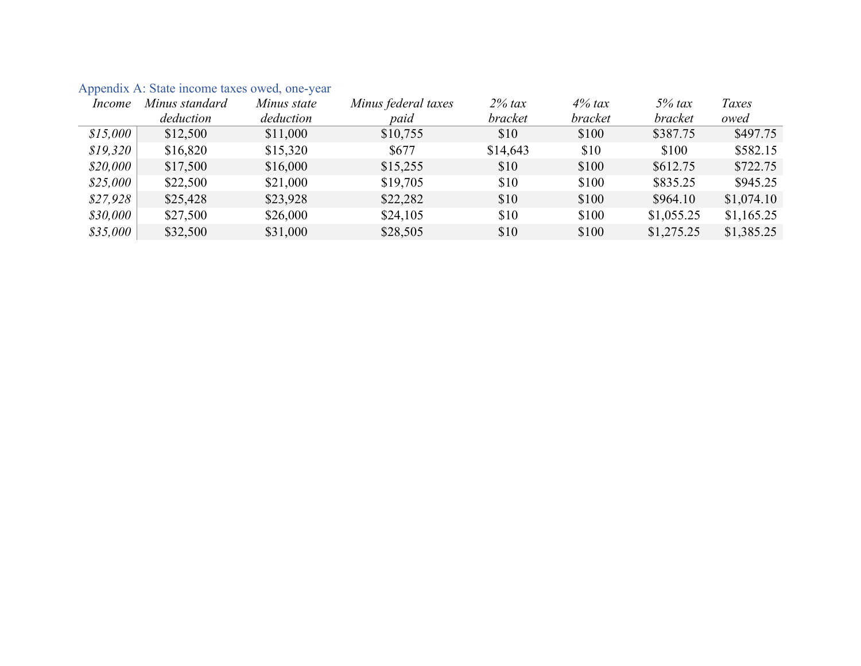| Income   | Minus standard | Minus state | Minus federal taxes | $2\%$ tax | $4\%$ tax | $5%$ tax       | Taxes      |
|----------|----------------|-------------|---------------------|-----------|-----------|----------------|------------|
|          | deduction      | deduction   | paid                | bracket   | bracket   | <i>bracket</i> | owed       |
| \$15,000 | \$12,500       | \$11,000    | \$10,755            | \$10      | \$100     | \$387.75       | \$497.75   |
| \$19,320 | \$16,820       | \$15,320    | \$677               | \$14,643  | \$10      | \$100          | \$582.15   |
| \$20,000 | \$17,500       | \$16,000    | \$15,255            | \$10      | \$100     | \$612.75       | \$722.75   |
| \$25,000 | \$22,500       | \$21,000    | \$19,705            | \$10      | \$100     | \$835.25       | \$945.25   |
| \$27,928 | \$25,428       | \$23,928    | \$22,282            | \$10      | \$100     | \$964.10       | \$1,074.10 |
| \$30,000 | \$27,500       | \$26,000    | \$24,105            | \$10      | \$100     | \$1,055.25     | \$1,165.25 |
| \$35,000 | \$32,500       | \$31,000    | \$28,505            | \$10      | \$100     | \$1,275.25     | \$1,385.25 |

## Appendix A: State income taxes owed, one-year